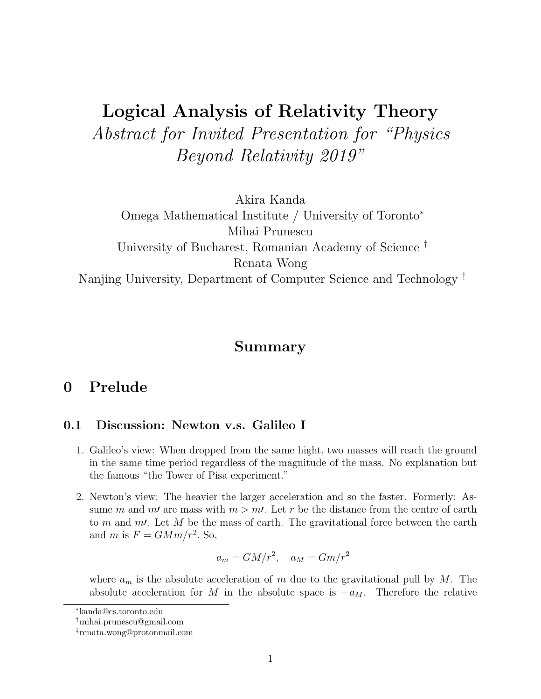# Logical Analysis of Relativity Theory Abstract for Invited Presentation for "Physics Beyond Relativity 2019"

Akira Kanda

Omega Mathematical Institute / University of Toronto<sup>∗</sup> Mihai Prunescu University of Bucharest, Romanian Academy of Science † Renata Wong Nanjing University, Department of Computer Science and Technology ‡

## Summary

# 0 Prelude

### 0.1 Discussion: Newton v.s. Galileo I

- 1. Galileo's view: When dropped from the same hight, two masses will reach the ground in the same time period regardless of the magnitude of the mass. No explanation but the famous "the Tower of Pisa experiment."
- 2. Newton's view: The heavier the larger acceleration and so the faster. Formerly: Assume m and m' are mass with  $m > m'$ . Let r be the distance from the centre of earth to m and m. Let M be the mass of earth. The gravitational force between the earth and m is  $F = GMm/r^2$ . So,

$$
a_m = GM/r^2, \quad a_M = Gm/r^2
$$

where  $a_m$  is the absolute acceleration of m due to the gravitational pull by M. The absolute acceleration for M in the absolute space is  $-a_M$ . Therefore the relative

<sup>∗</sup>kanda@cs.toronto.edu

<sup>†</sup>mihai.prunescu@gmail.com

<sup>‡</sup> renata.wong@protonmail.com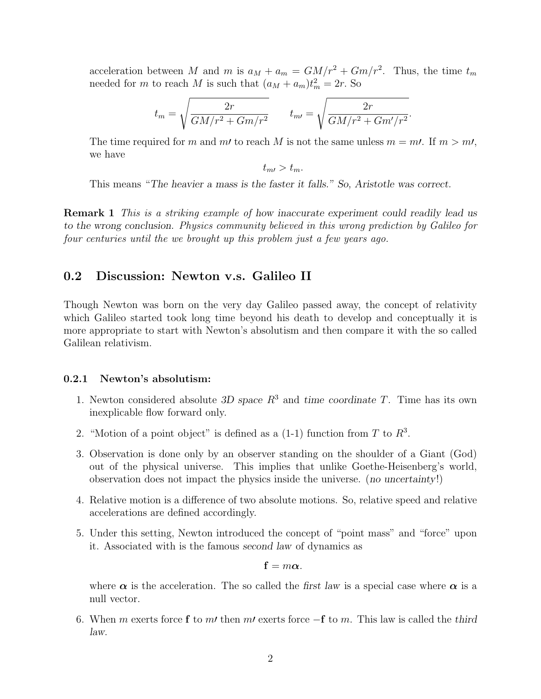acceleration between M and m is  $a_M + a_m = GM/r^2 + Gm/r^2$ . Thus, the time  $t_m$ needed for m to reach M is such that  $(a_M + a_m)t_m^2 = 2r$ . So

$$
t_m = \sqrt{\frac{2r}{GM/r^2 + Gm/r^2}} \qquad t_{m\prime} = \sqrt{\frac{2r}{GM/r^2 + Gm'/r^2}}.
$$

The time required for m and m' to reach M is not the same unless  $m = m$ . If  $m > m$ , we have

 $t_{m} > t_{m}$ .

This means "The heavier a mass is the faster it falls." So, Aristotle was correct.

**Remark 1** This is a striking example of how inaccurate experiment could readily lead us to the wrong conclusion. Physics community believed in this wrong prediction by Galileo for four centuries until the we brought up this problem just a few years ago.

#### 0.2 Discussion: Newton v.s. Galileo II

Though Newton was born on the very day Galileo passed away, the concept of relativity which Galileo started took long time beyond his death to develop and conceptually it is more appropriate to start with Newton's absolutism and then compare it with the so called Galilean relativism.

#### 0.2.1 Newton's absolutism:

- 1. Newton considered absolute 3D space  $R^3$  and time coordinate T. Time has its own inexplicable flow forward only.
- 2. "Motion of a point object" is defined as a  $(1-1)$  function from T to  $R^3$ .
- 3. Observation is done only by an observer standing on the shoulder of a Giant (God) out of the physical universe. This implies that unlike Goethe-Heisenberg's world, observation does not impact the physics inside the universe. (no uncertainty!)
- 4. Relative motion is a difference of two absolute motions. So, relative speed and relative accelerations are defined accordingly.
- 5. Under this setting, Newton introduced the concept of "point mass" and "force" upon it. Associated with is the famous second law of dynamics as

$$
\mathbf{f}=m\boldsymbol{\alpha}.
$$

where  $\alpha$  is the acceleration. The so called the first law is a special case where  $\alpha$  is a null vector.

6. When m exerts force f to m' then m' exerts force  $-f$  to m. This law is called the third law.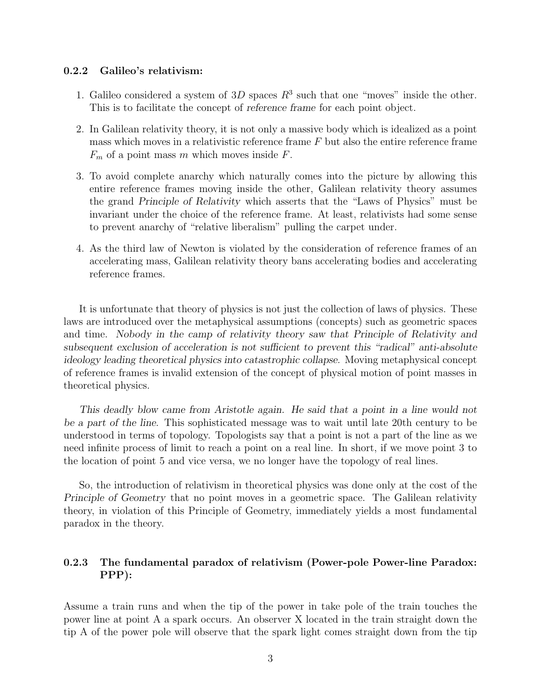#### 0.2.2 Galileo's relativism:

- 1. Galileo considered a system of 3D spaces  $R^3$  such that one "moves" inside the other. This is to facilitate the concept of reference frame for each point object.
- 2. In Galilean relativity theory, it is not only a massive body which is idealized as a point mass which moves in a relativistic reference frame  $F$  but also the entire reference frame  $F_m$  of a point mass m which moves inside F.
- 3. To avoid complete anarchy which naturally comes into the picture by allowing this entire reference frames moving inside the other, Galilean relativity theory assumes the grand Principle of Relativity which asserts that the "Laws of Physics" must be invariant under the choice of the reference frame. At least, relativists had some sense to prevent anarchy of "relative liberalism" pulling the carpet under.
- 4. As the third law of Newton is violated by the consideration of reference frames of an accelerating mass, Galilean relativity theory bans accelerating bodies and accelerating reference frames.

It is unfortunate that theory of physics is not just the collection of laws of physics. These laws are introduced over the metaphysical assumptions (concepts) such as geometric spaces and time. Nobody in the camp of relativity theory saw that Principle of Relativity and subsequent exclusion of acceleration is not sufficient to prevent this "radical" anti-absolute ideology leading theoretical physics into catastrophic collapse. Moving metaphysical concept of reference frames is invalid extension of the concept of physical motion of point masses in theoretical physics.

This deadly blow came from Aristotle again. He said that a point in a line would not be a part of the line. This sophisticated message was to wait until late 20th century to be understood in terms of topology. Topologists say that a point is not a part of the line as we need infinite process of limit to reach a point on a real line. In short, if we move point 3 to the location of point 5 and vice versa, we no longer have the topology of real lines.

So, the introduction of relativism in theoretical physics was done only at the cost of the Principle of Geometry that no point moves in a geometric space. The Galilean relativity theory, in violation of this Principle of Geometry, immediately yields a most fundamental paradox in the theory.

### 0.2.3 The fundamental paradox of relativism (Power-pole Power-line Paradox: PPP):

Assume a train runs and when the tip of the power in take pole of the train touches the power line at point A a spark occurs. An observer X located in the train straight down the tip A of the power pole will observe that the spark light comes straight down from the tip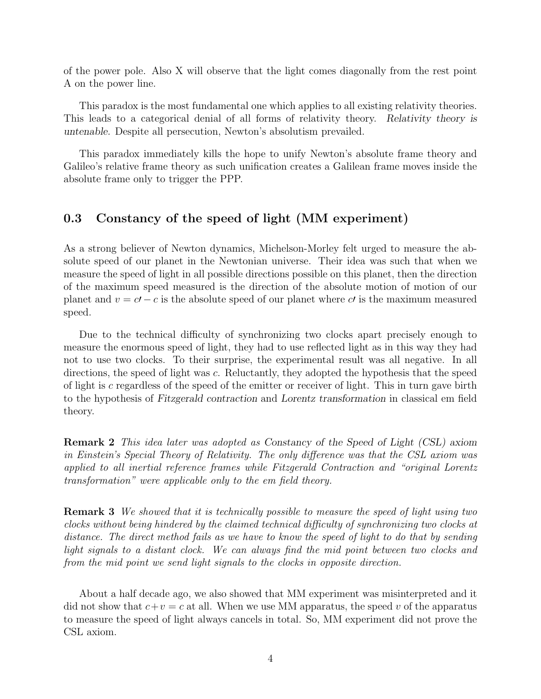of the power pole. Also X will observe that the light comes diagonally from the rest point A on the power line.

This paradox is the most fundamental one which applies to all existing relativity theories. This leads to a categorical denial of all forms of relativity theory. Relativity theory is untenable. Despite all persecution, Newton's absolutism prevailed.

This paradox immediately kills the hope to unify Newton's absolute frame theory and Galileo's relative frame theory as such unification creates a Galilean frame moves inside the absolute frame only to trigger the PPP.

### 0.3 Constancy of the speed of light (MM experiment)

As a strong believer of Newton dynamics, Michelson-Morley felt urged to measure the absolute speed of our planet in the Newtonian universe. Their idea was such that when we measure the speed of light in all possible directions possible on this planet, then the direction of the maximum speed measured is the direction of the absolute motion of motion of our planet and  $v = c<sup>t</sup> - c$  is the absolute speed of our planet where c' is the maximum measured speed.

Due to the technical difficulty of synchronizing two clocks apart precisely enough to measure the enormous speed of light, they had to use reflected light as in this way they had not to use two clocks. To their surprise, the experimental result was all negative. In all directions, the speed of light was c. Reluctantly, they adopted the hypothesis that the speed of light is c regardless of the speed of the emitter or receiver of light. This in turn gave birth to the hypothesis of Fitzgerald contraction and Lorentz transformation in classical em field theory.

Remark 2 This idea later was adopted as Constancy of the Speed of Light (CSL) axiom in Einstein's Special Theory of Relativity. The only difference was that the CSL axiom was applied to all inertial reference frames while Fitzgerald Contraction and "original Lorentz transformation" were applicable only to the em field theory.

Remark 3 We showed that it is technically possible to measure the speed of light using two clocks without being hindered by the claimed technical difficulty of synchronizing two clocks at distance. The direct method fails as we have to know the speed of light to do that by sending light signals to a distant clock. We can always find the mid point between two clocks and from the mid point we send light signals to the clocks in opposite direction.

About a half decade ago, we also showed that MM experiment was misinterpreted and it did not show that  $c+v = c$  at all. When we use MM apparatus, the speed v of the apparatus to measure the speed of light always cancels in total. So, MM experiment did not prove the CSL axiom.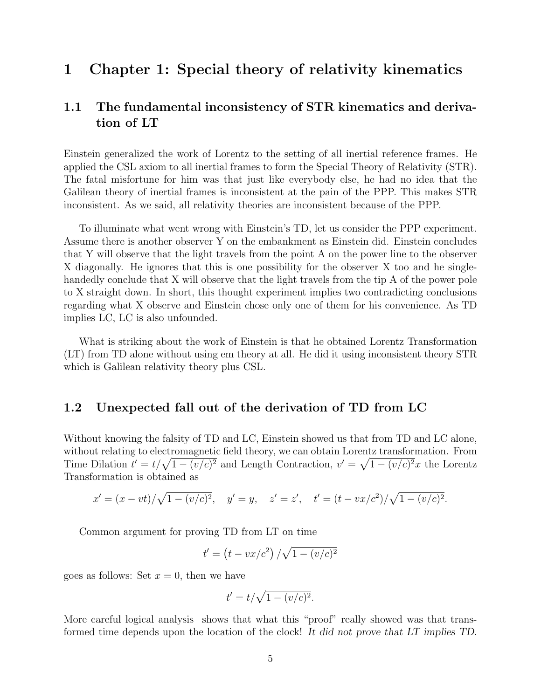# 1 Chapter 1: Special theory of relativity kinematics

## 1.1 The fundamental inconsistency of STR kinematics and derivation of LT

Einstein generalized the work of Lorentz to the setting of all inertial reference frames. He applied the CSL axiom to all inertial frames to form the Special Theory of Relativity (STR). The fatal misfortune for him was that just like everybody else, he had no idea that the Galilean theory of inertial frames is inconsistent at the pain of the PPP. This makes STR inconsistent. As we said, all relativity theories are inconsistent because of the PPP.

To illuminate what went wrong with Einstein's TD, let us consider the PPP experiment. Assume there is another observer Y on the embankment as Einstein did. Einstein concludes that Y will observe that the light travels from the point A on the power line to the observer X diagonally. He ignores that this is one possibility for the observer X too and he singlehandedly conclude that X will observe that the light travels from the tip A of the power pole to X straight down. In short, this thought experiment implies two contradicting conclusions regarding what X observe and Einstein chose only one of them for his convenience. As TD implies LC, LC is also unfounded.

What is striking about the work of Einstein is that he obtained Lorentz Transformation (LT) from TD alone without using em theory at all. He did it using inconsistent theory STR which is Galilean relativity theory plus CSL.

#### 1.2 Unexpected fall out of the derivation of TD from LC

Without knowing the falsity of TD and LC, Einstein showed us that from TD and LC alone, without relating to electromagnetic field theory, we can obtain Lorentz transformation. From Time Dilation  $t' = t/\sqrt{1 - (v/c)^2}$  and Length Contraction,  $v' = \sqrt{1 - (v/c)^2}x$  the Lorentz Transformation is obtained as

$$
x' = (x - vt)/\sqrt{1 - (v/c)^2}
$$
,  $y' = y$ ,  $z' = z'$ ,  $t' = (t - vx/c^2)/\sqrt{1 - (v/c)^2}$ .

Common argument for proving TD from LT on time

$$
t' = (t - vx/c^2) / \sqrt{1 - (v/c)^2}
$$

goes as follows: Set  $x = 0$ , then we have

$$
t' = t/\sqrt{1 - (v/c)^2}.
$$

More careful logical analysis shows that what this "proof" really showed was that transformed time depends upon the location of the clock! It did not prove that LT implies TD.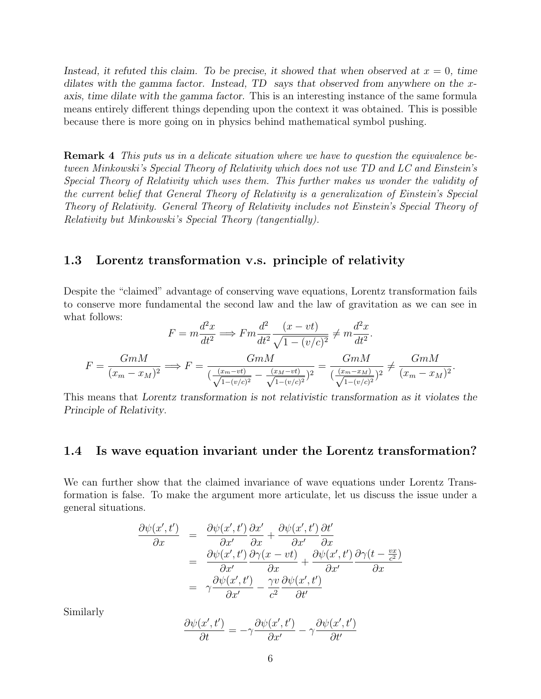Instead, it refuted this claim. To be precise, it showed that when observed at  $x = 0$ , time dilates with the gamma factor. Instead, TD says that observed from anywhere on the xaxis, time dilate with the gamma factor. This is an interesting instance of the same formula means entirely different things depending upon the context it was obtained. This is possible because there is more going on in physics behind mathematical symbol pushing.

Remark 4 This puts us in a delicate situation where we have to question the equivalence between Minkowski's Special Theory of Relativity which does not use TD and LC and Einstein's Special Theory of Relativity which uses them. This further makes us wonder the validity of the current belief that General Theory of Relativity is a generalization of Einstein's Special Theory of Relativity. General Theory of Relativity includes not Einstein's Special Theory of Relativity but Minkowski's Special Theory (tangentially).

#### 1.3 Lorentz transformation v.s. principle of relativity

Despite the "claimed" advantage of conserving wave equations, Lorentz transformation fails to conserve more fundamental the second law and the law of gravitation as we can see in what follows:

$$
F = m \frac{d^2 x}{dt^2} \Longrightarrow F m \frac{d^2}{dt^2} \frac{(x - vt)}{\sqrt{1 - (v/c)^2}} \neq m \frac{d^2 x}{dt^2}.
$$

$$
F = \frac{GmM}{(x_m - x_M)^2} \Longrightarrow F = \frac{GmM}{(\frac{(x_m - vt)}{\sqrt{1 - (v/c)^2}} - \frac{(x_M - vt)}{\sqrt{1 - (v/c)^2}})^2} = \frac{GmM}{(\frac{(x_m - x_M)}{\sqrt{1 - (v/c)^2}})^2} \neq \frac{GmM}{(x_m - x_M)^2}.
$$

This means that Lorentz transformation is not relativistic transformation as it violates the Principle of Relativity.

### 1.4 Is wave equation invariant under the Lorentz transformation?

We can further show that the claimed invariance of wave equations under Lorentz Transformation is false. To make the argument more articulate, let us discuss the issue under a general situations.

$$
\frac{\partial \psi(x',t')}{\partial x} = \frac{\partial \psi(x',t')}{\partial x'} \frac{\partial x'}{\partial x} + \frac{\partial \psi(x',t')}{\partial x'} \frac{\partial t'}{\partial x}
$$
  
\n
$$
= \frac{\partial \psi(x',t')}{\partial x'} \frac{\partial \gamma(x-vt)}{\partial x} + \frac{\partial \psi(x',t')}{\partial x'} \frac{\partial \gamma(t-\frac{vx}{c^2})}{\partial x}
$$
  
\n
$$
= \gamma \frac{\partial \psi(x',t')}{\partial x'} - \frac{\gamma v}{c^2} \frac{\partial \psi(x',t')}{\partial t'}
$$

Similarly

$$
\frac{\partial \psi(x',t')}{\partial t} = -\gamma \frac{\partial \psi(x',t')}{\partial x'} - \gamma \frac{\partial \psi(x',t')}{\partial t'}
$$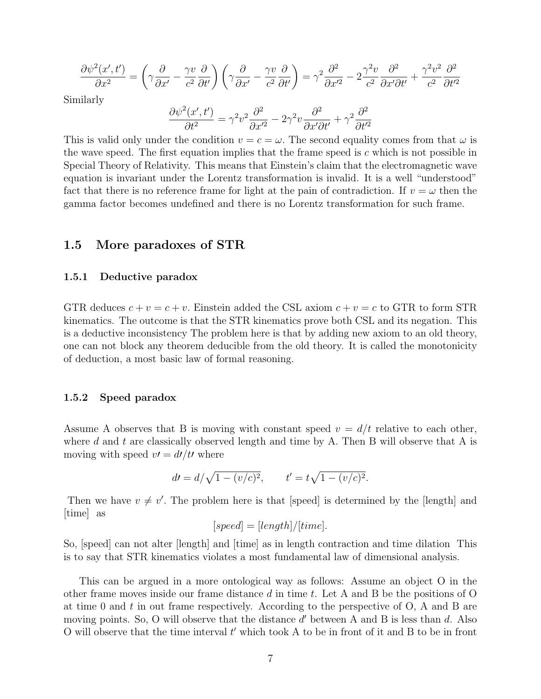$$
\frac{\partial \psi^2(x',t')}{\partial x^2} = \left(\gamma \frac{\partial}{\partial x'} - \frac{\gamma v}{c^2} \frac{\partial}{\partial t'}\right) \left(\gamma \frac{\partial}{\partial x'} - \frac{\gamma v}{c^2} \frac{\partial}{\partial t'}\right) = \gamma^2 \frac{\partial^2}{\partial x'^2} - 2 \frac{\gamma^2 v}{c^2} \frac{\partial^2}{\partial x' \partial t'} + \frac{\gamma^2 v^2}{c^2} \frac{\partial^2}{\partial t'^2}
$$

Similarly

$$
\frac{\partial \psi^2(x',t')}{\partial t^2} = \gamma^2 v^2 \frac{\partial^2}{\partial x'^2} - 2\gamma^2 v \frac{\partial^2}{\partial x' \partial t'} + \gamma^2 \frac{\partial^2}{\partial t'^2}
$$

This is valid only under the condition  $v = c = \omega$ . The second equality comes from that  $\omega$  is the wave speed. The first equation implies that the frame speed is  $c$  which is not possible in Special Theory of Relativity. This means that Einstein's claim that the electromagnetic wave equation is invariant under the Lorentz transformation is invalid. It is a well "understood" fact that there is no reference frame for light at the pain of contradiction. If  $v = \omega$  then the gamma factor becomes undefined and there is no Lorentz transformation for such frame.

#### 1.5 More paradoxes of STR

#### 1.5.1 Deductive paradox

GTR deduces  $c + v = c + v$ . Einstein added the CSL axiom  $c + v = c$  to GTR to form STR kinematics. The outcome is that the STR kinematics prove both CSL and its negation. This is a deductive inconsistency The problem here is that by adding new axiom to an old theory, one can not block any theorem deducible from the old theory. It is called the monotonicity of deduction, a most basic law of formal reasoning.

#### 1.5.2 Speed paradox

Assume A observes that B is moving with constant speed  $v = d/t$  relative to each other, where d and t are classically observed length and time by A. Then B will observe that A is moving with speed  $v = d/dt$  where

$$
dt = d/\sqrt{1 - (v/c)^2}, \qquad t' = t\sqrt{1 - (v/c)^2}.
$$

Then we have  $v \neq v'$ . The problem here is that [speed] is determined by the [length] and [time] as

$$
[speed] = [length]/[time].
$$

So, [speed] can not alter [length] and [time] as in length contraction and time dilation This is to say that STR kinematics violates a most fundamental law of dimensional analysis.

This can be argued in a more ontological way as follows: Assume an object O in the other frame moves inside our frame distance  $d$  in time t. Let A and B be the positions of O at time 0 and  $t$  in out frame respectively. According to the perspective of  $O$ , A and B are moving points. So, O will observe that the distance  $d'$  between A and B is less than  $d$ . Also O will observe that the time interval  $t'$  which took A to be in front of it and B to be in front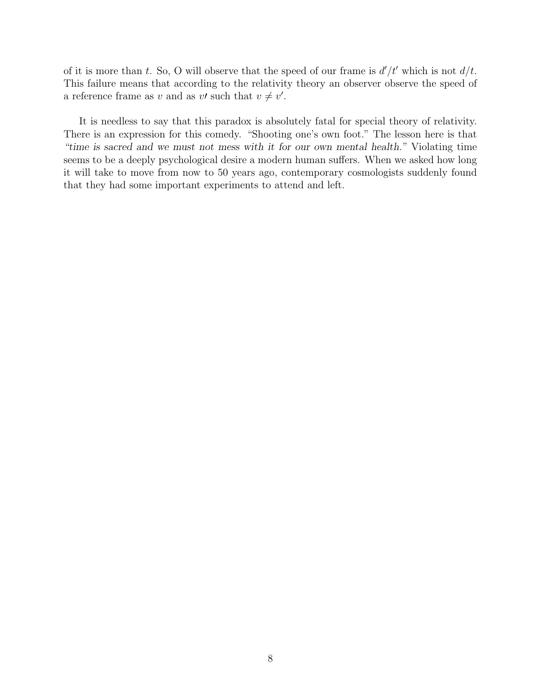of it is more than t. So, O will observe that the speed of our frame is  $d'/t'$  which is not  $d/t$ . This failure means that according to the relativity theory an observer observe the speed of a reference frame as v and as v' such that  $v \neq v'$ .

It is needless to say that this paradox is absolutely fatal for special theory of relativity. There is an expression for this comedy. "Shooting one's own foot." The lesson here is that "time is sacred and we must not mess with it for our own mental health." Violating time seems to be a deeply psychological desire a modern human suffers. When we asked how long it will take to move from now to 50 years ago, contemporary cosmologists suddenly found that they had some important experiments to attend and left.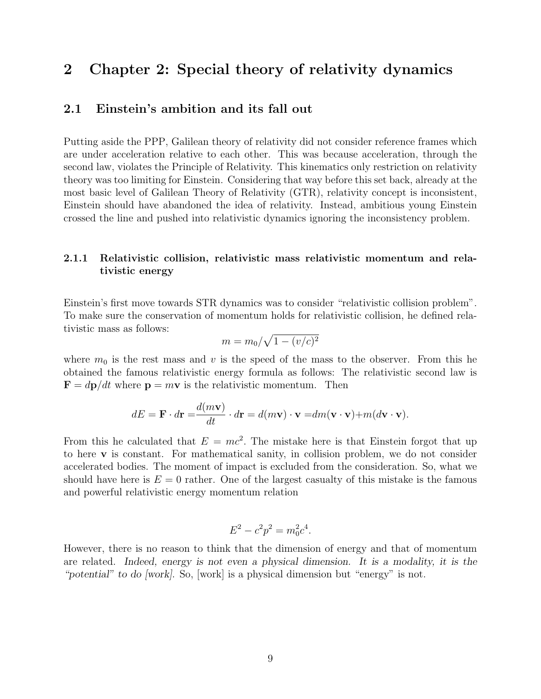# 2 Chapter 2: Special theory of relativity dynamics

### 2.1 Einstein's ambition and its fall out

Putting aside the PPP, Galilean theory of relativity did not consider reference frames which are under acceleration relative to each other. This was because acceleration, through the second law, violates the Principle of Relativity. This kinematics only restriction on relativity theory was too limiting for Einstein. Considering that way before this set back, already at the most basic level of Galilean Theory of Relativity (GTR), relativity concept is inconsistent, Einstein should have abandoned the idea of relativity. Instead, ambitious young Einstein crossed the line and pushed into relativistic dynamics ignoring the inconsistency problem.

#### 2.1.1 Relativistic collision, relativistic mass relativistic momentum and relativistic energy

Einstein's first move towards STR dynamics was to consider "relativistic collision problem". To make sure the conservation of momentum holds for relativistic collision, he defined relativistic mass as follows:

$$
m = m_0/\sqrt{1 - (v/c)^2}
$$

where  $m_0$  is the rest mass and v is the speed of the mass to the observer. From this he obtained the famous relativistic energy formula as follows: The relativistic second law is  $\mathbf{F} = d\mathbf{p}/dt$  where  $\mathbf{p} = m\mathbf{v}$  is the relativistic momentum. Then

$$
dE = \mathbf{F} \cdot d\mathbf{r} = \frac{d(m\mathbf{v})}{dt} \cdot d\mathbf{r} = d(m\mathbf{v}) \cdot \mathbf{v} = dm(\mathbf{v} \cdot \mathbf{v}) + m(d\mathbf{v} \cdot \mathbf{v}).
$$

From this he calculated that  $E = mc^2$ . The mistake here is that Einstein forgot that up to here v is constant. For mathematical sanity, in collision problem, we do not consider accelerated bodies. The moment of impact is excluded from the consideration. So, what we should have here is  $E = 0$  rather. One of the largest casualty of this mistake is the famous and powerful relativistic energy momentum relation

$$
E^2 - c^2 p^2 = m_0^2 c^4.
$$

However, there is no reason to think that the dimension of energy and that of momentum are related. Indeed, energy is not even a physical dimension. It is a modality, it is the "potential" to do [work]. So, [work] is a physical dimension but "energy" is not.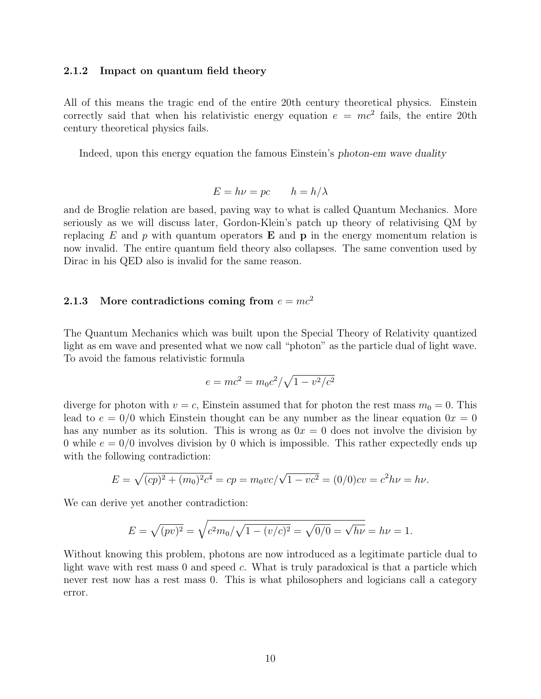#### 2.1.2 Impact on quantum field theory

All of this means the tragic end of the entire 20th century theoretical physics. Einstein correctly said that when his relativistic energy equation  $e = mc^2$  fails, the entire 20th century theoretical physics fails.

Indeed, upon this energy equation the famous Einstein's photon-em wave duality

$$
E = h\nu = pc \t h = h/\lambda
$$

and de Broglie relation are based, paving way to what is called Quantum Mechanics. More seriously as we will discuss later, Gordon-Klein's patch up theory of relativising QM by replacing E and p with quantum operators  $E$  and  $p$  in the energy momentum relation is now invalid. The entire quantum field theory also collapses. The same convention used by Dirac in his QED also is invalid for the same reason.

#### 2.1.3 More contradictions coming from  $e = mc^2$

The Quantum Mechanics which was built upon the Special Theory of Relativity quantized light as em wave and presented what we now call "photon" as the particle dual of light wave. To avoid the famous relativistic formula

$$
e = mc^2 = m_0 c^2 / \sqrt{1 - v^2/c^2}
$$

diverge for photon with  $v = c$ , Einstein assumed that for photon the rest mass  $m_0 = 0$ . This lead to  $e = 0/0$  which Einstein thought can be any number as the linear equation  $0x = 0$ has any number as its solution. This is wrong as  $0x = 0$  does not involve the division by 0 while  $e = 0/0$  involves division by 0 which is impossible. This rather expectedly ends up with the following contradiction:

$$
E = \sqrt{(cp)^2 + (m_0)^2 c^4} = cp = m_0 v c / \sqrt{1 - v c^2} = (0/0) cv = c^2 h \nu = h \nu.
$$

We can derive yet another contradiction:

$$
E = \sqrt{(pv)^2} = \sqrt{c^2 m_0/\sqrt{1 - (v/c)^2}} = \sqrt{0/0} = \sqrt{h\nu} = h\nu = 1.
$$

Without knowing this problem, photons are now introduced as a legitimate particle dual to light wave with rest mass  $0$  and speed  $c$ . What is truly paradoxical is that a particle which never rest now has a rest mass 0. This is what philosophers and logicians call a category error.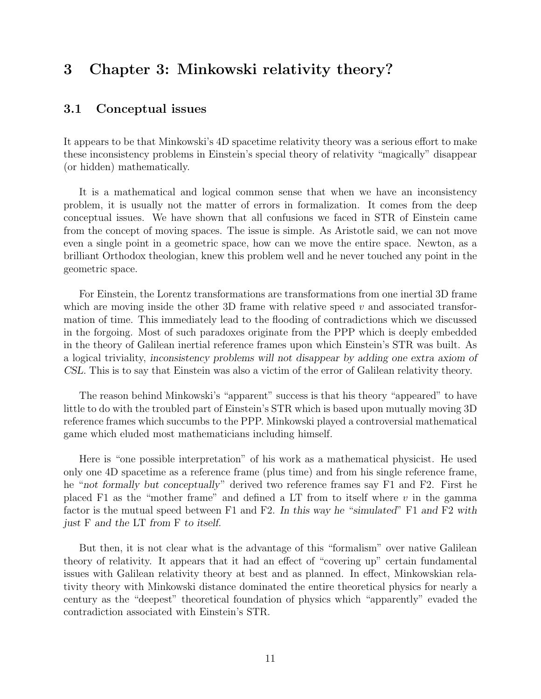# 3 Chapter 3: Minkowski relativity theory?

### 3.1 Conceptual issues

It appears to be that Minkowski's 4D spacetime relativity theory was a serious effort to make these inconsistency problems in Einstein's special theory of relativity "magically" disappear (or hidden) mathematically.

It is a mathematical and logical common sense that when we have an inconsistency problem, it is usually not the matter of errors in formalization. It comes from the deep conceptual issues. We have shown that all confusions we faced in STR of Einstein came from the concept of moving spaces. The issue is simple. As Aristotle said, we can not move even a single point in a geometric space, how can we move the entire space. Newton, as a brilliant Orthodox theologian, knew this problem well and he never touched any point in the geometric space.

For Einstein, the Lorentz transformations are transformations from one inertial 3D frame which are moving inside the other 3D frame with relative speed  $v$  and associated transformation of time. This immediately lead to the flooding of contradictions which we discussed in the forgoing. Most of such paradoxes originate from the PPP which is deeply embedded in the theory of Galilean inertial reference frames upon which Einstein's STR was built. As a logical triviality, inconsistency problems will not disappear by adding one extra axiom of CSL. This is to say that Einstein was also a victim of the error of Galilean relativity theory.

The reason behind Minkowski's "apparent" success is that his theory "appeared" to have little to do with the troubled part of Einstein's STR which is based upon mutually moving 3D reference frames which succumbs to the PPP. Minkowski played a controversial mathematical game which eluded most mathematicians including himself.

Here is "one possible interpretation" of his work as a mathematical physicist. He used only one 4D spacetime as a reference frame (plus time) and from his single reference frame, he "not formally but conceptually" derived two reference frames say F1 and F2. First he placed F1 as the "mother frame" and defined a LT from to itself where  $v$  in the gamma factor is the mutual speed between F1 and F2. In this way he "simulated" F1 and F2 with just F and the LT from F to itself.

But then, it is not clear what is the advantage of this "formalism" over native Galilean theory of relativity. It appears that it had an effect of "covering up" certain fundamental issues with Galilean relativity theory at best and as planned. In effect, Minkowskian relativity theory with Minkowski distance dominated the entire theoretical physics for nearly a century as the "deepest" theoretical foundation of physics which "apparently" evaded the contradiction associated with Einstein's STR.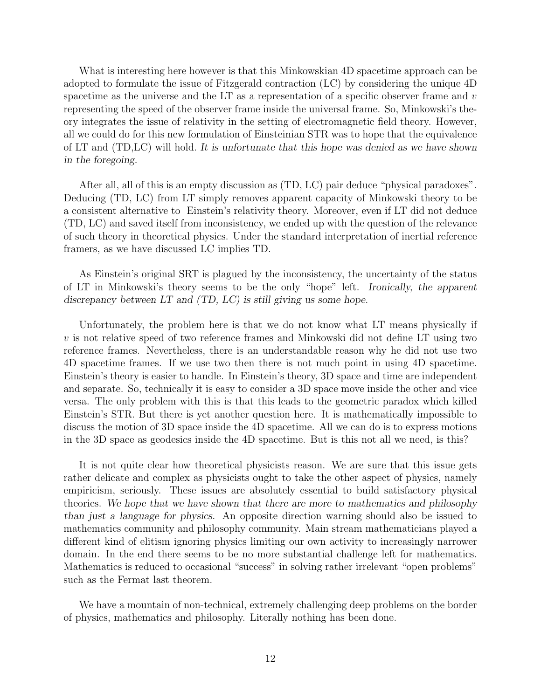What is interesting here however is that this Minkowskian 4D spacetime approach can be adopted to formulate the issue of Fitzgerald contraction (LC) by considering the unique 4D spacetime as the universe and the LT as a representation of a specific observer frame and  $v$ representing the speed of the observer frame inside the universal frame. So, Minkowski's theory integrates the issue of relativity in the setting of electromagnetic field theory. However, all we could do for this new formulation of Einsteinian STR was to hope that the equivalence of LT and (TD,LC) will hold. It is unfortunate that this hope was denied as we have shown in the foregoing.

After all, all of this is an empty discussion as (TD, LC) pair deduce "physical paradoxes". Deducing (TD, LC) from LT simply removes apparent capacity of Minkowski theory to be a consistent alternative to Einstein's relativity theory. Moreover, even if LT did not deduce (TD, LC) and saved itself from inconsistency, we ended up with the question of the relevance of such theory in theoretical physics. Under the standard interpretation of inertial reference framers, as we have discussed LC implies TD.

As Einstein's original SRT is plagued by the inconsistency, the uncertainty of the status of LT in Minkowski's theory seems to be the only "hope" left. Ironically, the apparent discrepancy between LT and (TD, LC) is still giving us some hope.

Unfortunately, the problem here is that we do not know what LT means physically if  $v$  is not relative speed of two reference frames and Minkowski did not define LT using two reference frames. Nevertheless, there is an understandable reason why he did not use two 4D spacetime frames. If we use two then there is not much point in using 4D spacetime. Einstein's theory is easier to handle. In Einstein's theory, 3D space and time are independent and separate. So, technically it is easy to consider a 3D space move inside the other and vice versa. The only problem with this is that this leads to the geometric paradox which killed Einstein's STR. But there is yet another question here. It is mathematically impossible to discuss the motion of 3D space inside the 4D spacetime. All we can do is to express motions in the 3D space as geodesics inside the 4D spacetime. But is this not all we need, is this?

It is not quite clear how theoretical physicists reason. We are sure that this issue gets rather delicate and complex as physicists ought to take the other aspect of physics, namely empiricism, seriously. These issues are absolutely essential to build satisfactory physical theories. We hope that we have shown that there are more to mathematics and philosophy than just a language for physics. An opposite direction warning should also be issued to mathematics community and philosophy community. Main stream mathematicians played a different kind of elitism ignoring physics limiting our own activity to increasingly narrower domain. In the end there seems to be no more substantial challenge left for mathematics. Mathematics is reduced to occasional "success" in solving rather irrelevant "open problems" such as the Fermat last theorem.

We have a mountain of non-technical, extremely challenging deep problems on the border of physics, mathematics and philosophy. Literally nothing has been done.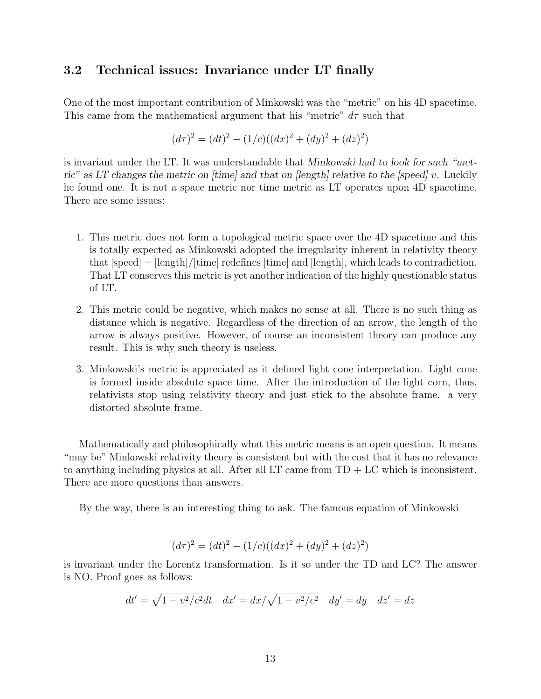### 3.2 Technical issues: Invariance under LT finally

One of the most important contribution of Minkowski was the "metric" on his 4D spacetime. This came from the mathematical argument that his "metric"  $d\tau$  such that

$$
(d\tau)^2 = (dt)^2 - (1/c)((dx)^2 + (dy)^2 + (dz)^2)
$$

is invariant under the LT. It was understandable that Minkowski had to look for such "metric" as LT changes the metric on  $[time]$  and that on  $[length]$  relative to the [speed] v. Luckily he found one. It is not a space metric nor time metric as LT operates upon 4D spacetime. There are some issues:

- 1. This metric does not form a topological metric space over the 4D spacetime and this is totally expected as Minkowski adopted the irregularity inherent in relativity theory that  $[speed] = [length]/[time]$  redefines  $[time]$  and  $[tone]$ , which leads to contradiction. That LT conserves this metric is yet another indication of the highly questionable status of LT.
- 2. This metric could be negative, which makes no sense at all. There is no such thing as distance which is negative. Regardless of the direction of an arrow, the length of the arrow is always positive. However, of course an inconsistent theory can produce any result. This is why such theory is useless.
- 3. Minkowski's metric is appreciated as it defined light cone interpretation. Light cone is formed inside absolute space time. After the introduction of the light corn, thus, relativists stop using relativity theory and just stick to the absolute frame. a very distorted absolute frame.

Mathematically and philosophically what this metric means is an open question. It means "may be" Minkowski relativity theory is consistent but with the cost that it has no relevance to anything including physics at all. After all LT came from TD + LC which is inconsistent. There are more questions than answers.

By the way, there is an interesting thing to ask. The famous equation of Minkowski

$$
(d\tau)^{2} = (dt)^{2} - (1/c)((dx)^{2} + (dy)^{2} + (dz)^{2})
$$

is invariant under the Lorentz transformation. Is it so under the TD and LC? The answer is NO. Proof goes as follows:

$$
dt' = \sqrt{1 - v^2/c^2}dt
$$
  $dx' = dx/\sqrt{1 - v^2/c^2}$   $dy' = dy$   $dz' = dz$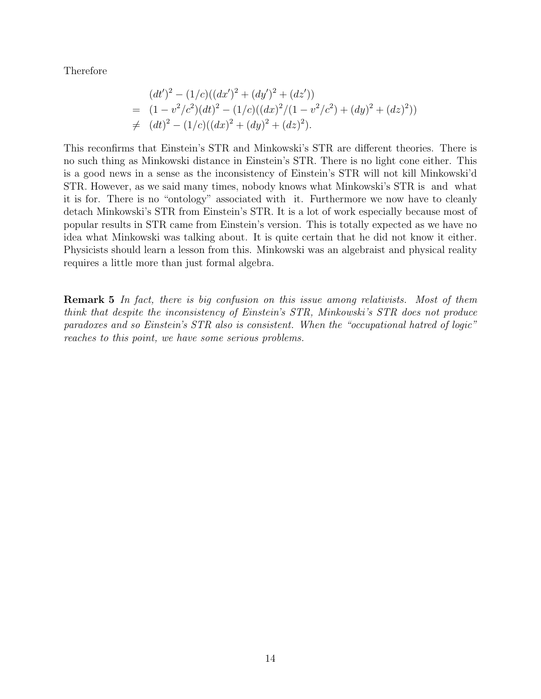Therefore

$$
(dt')^2 - (1/c)((dx')^2 + (dy')^2 + (dz'))
$$
  
=  $(1 - v^2/c^2)(dt)^2 - (1/c)((dx)^2/(1 - v^2/c^2) + (dy)^2 + (dz)^2))$   
\neq  $(dt)^2 - (1/c)((dx)^2 + (dy)^2 + (dz)^2).$ 

This reconfirms that Einstein's STR and Minkowski's STR are different theories. There is no such thing as Minkowski distance in Einstein's STR. There is no light cone either. This is a good news in a sense as the inconsistency of Einstein's STR will not kill Minkowski'd STR. However, as we said many times, nobody knows what Minkowski's STR is and what it is for. There is no "ontology" associated with it. Furthermore we now have to cleanly detach Minkowski's STR from Einstein's STR. It is a lot of work especially because most of popular results in STR came from Einstein's version. This is totally expected as we have no idea what Minkowski was talking about. It is quite certain that he did not know it either. Physicists should learn a lesson from this. Minkowski was an algebraist and physical reality requires a little more than just formal algebra.

**Remark 5** In fact, there is big confusion on this issue among relativists. Most of them think that despite the inconsistency of Einstein's STR, Minkowski's STR does not produce paradoxes and so Einstein's STR also is consistent. When the "occupational hatred of logic" reaches to this point, we have some serious problems.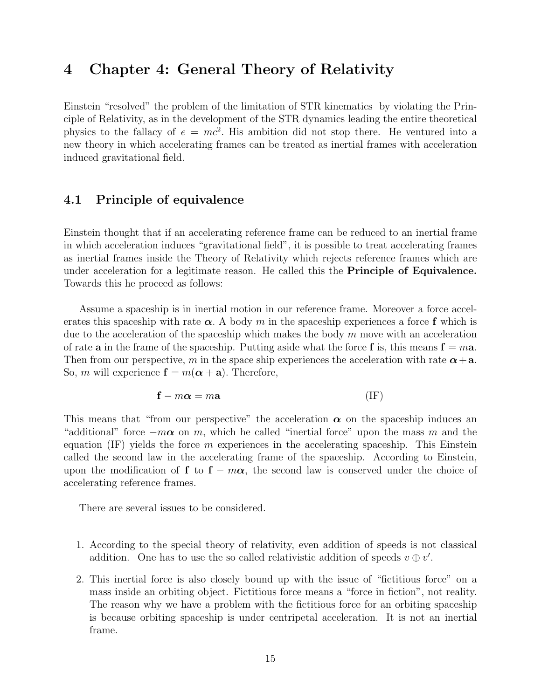# 4 Chapter 4: General Theory of Relativity

Einstein "resolved" the problem of the limitation of STR kinematics by violating the Principle of Relativity, as in the development of the STR dynamics leading the entire theoretical physics to the fallacy of  $e = mc^2$ . His ambition did not stop there. He ventured into a new theory in which accelerating frames can be treated as inertial frames with acceleration induced gravitational field.

### 4.1 Principle of equivalence

Einstein thought that if an accelerating reference frame can be reduced to an inertial frame in which acceleration induces "gravitational field", it is possible to treat accelerating frames as inertial frames inside the Theory of Relativity which rejects reference frames which are under acceleration for a legitimate reason. He called this the Principle of Equivalence. Towards this he proceed as follows:

Assume a spaceship is in inertial motion in our reference frame. Moreover a force accelerates this spaceship with rate  $\alpha$ . A body m in the spaceship experiences a force f which is due to the acceleration of the spaceship which makes the body  $m$  move with an acceleration of rate **a** in the frame of the spaceship. Putting aside what the force **f** is, this means  $\mathbf{f} = m\mathbf{a}$ . Then from our perspective, m in the space ship experiences the acceleration with rate  $\alpha + a$ . So, m will experience  $\mathbf{f} = m(\boldsymbol{\alpha} + \mathbf{a})$ . Therefore,

$$
\mathbf{f} - m\boldsymbol{\alpha} = m\mathbf{a} \tag{IF}
$$

This means that "from our perspective" the acceleration  $\alpha$  on the spaceship induces an "additional" force  $-m\alpha$  on m, which he called "inertial force" upon the mass m and the equation  $(IF)$  yields the force m experiences in the accelerating spaceship. This Einstein called the second law in the accelerating frame of the spaceship. According to Einstein, upon the modification of f to  $f - m\alpha$ , the second law is conserved under the choice of accelerating reference frames.

There are several issues to be considered.

- 1. According to the special theory of relativity, even addition of speeds is not classical addition. One has to use the so called relativistic addition of speeds  $v \oplus v'$ .
- 2. This inertial force is also closely bound up with the issue of "fictitious force" on a mass inside an orbiting object. Fictitious force means a "force in fiction", not reality. The reason why we have a problem with the fictitious force for an orbiting spaceship is because orbiting spaceship is under centripetal acceleration. It is not an inertial frame.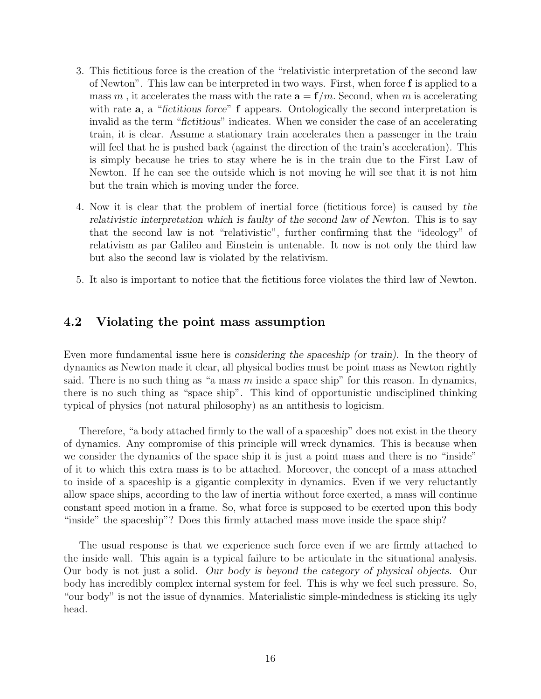- 3. This fictitious force is the creation of the "relativistic interpretation of the second law of Newton". This law can be interpreted in two ways. First, when force f is applied to a mass m, it accelerates the mass with the rate  $\mathbf{a} = \mathbf{f}/m$ . Second, when m is accelerating with rate  $a$ , a "fictitious force"  $f$  appears. Ontologically the second interpretation is invalid as the term "fictitious" indicates. When we consider the case of an accelerating train, it is clear. Assume a stationary train accelerates then a passenger in the train will feel that he is pushed back (against the direction of the train's acceleration). This is simply because he tries to stay where he is in the train due to the First Law of Newton. If he can see the outside which is not moving he will see that it is not him but the train which is moving under the force.
- 4. Now it is clear that the problem of inertial force (fictitious force) is caused by the relativistic interpretation which is faulty of the second law of Newton. This is to say that the second law is not "relativistic", further confirming that the "ideology" of relativism as par Galileo and Einstein is untenable. It now is not only the third law but also the second law is violated by the relativism.
- 5. It also is important to notice that the fictitious force violates the third law of Newton.

### 4.2 Violating the point mass assumption

Even more fundamental issue here is considering the spaceship (or train). In the theory of dynamics as Newton made it clear, all physical bodies must be point mass as Newton rightly said. There is no such thing as "a mass  $m$  inside a space ship" for this reason. In dynamics, there is no such thing as "space ship". This kind of opportunistic undisciplined thinking typical of physics (not natural philosophy) as an antithesis to logicism.

Therefore, "a body attached firmly to the wall of a spaceship" does not exist in the theory of dynamics. Any compromise of this principle will wreck dynamics. This is because when we consider the dynamics of the space ship it is just a point mass and there is no "inside" of it to which this extra mass is to be attached. Moreover, the concept of a mass attached to inside of a spaceship is a gigantic complexity in dynamics. Even if we very reluctantly allow space ships, according to the law of inertia without force exerted, a mass will continue constant speed motion in a frame. So, what force is supposed to be exerted upon this body "inside" the spaceship"? Does this firmly attached mass move inside the space ship?

The usual response is that we experience such force even if we are firmly attached to the inside wall. This again is a typical failure to be articulate in the situational analysis. Our body is not just a solid. Our body is beyond the category of physical objects. Our body has incredibly complex internal system for feel. This is why we feel such pressure. So, "our body" is not the issue of dynamics. Materialistic simple-mindedness is sticking its ugly head.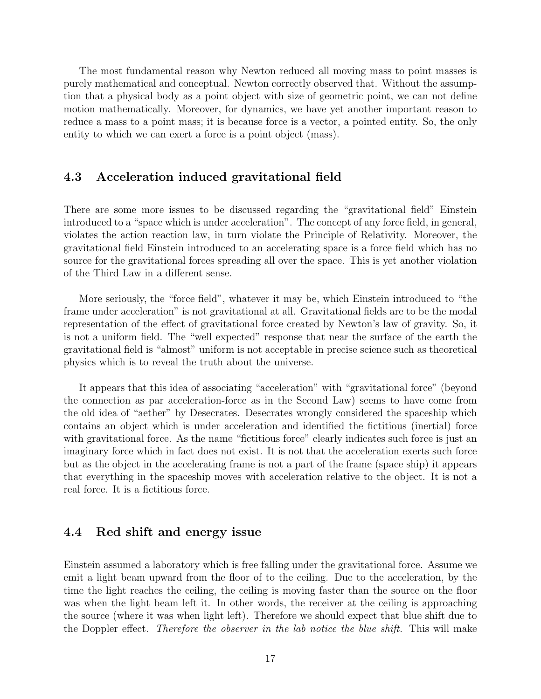The most fundamental reason why Newton reduced all moving mass to point masses is purely mathematical and conceptual. Newton correctly observed that. Without the assumption that a physical body as a point object with size of geometric point, we can not define motion mathematically. Moreover, for dynamics, we have yet another important reason to reduce a mass to a point mass; it is because force is a vector, a pointed entity. So, the only entity to which we can exert a force is a point object (mass).

### 4.3 Acceleration induced gravitational field

There are some more issues to be discussed regarding the "gravitational field" Einstein introduced to a "space which is under acceleration". The concept of any force field, in general, violates the action reaction law, in turn violate the Principle of Relativity. Moreover, the gravitational field Einstein introduced to an accelerating space is a force field which has no source for the gravitational forces spreading all over the space. This is yet another violation of the Third Law in a different sense.

More seriously, the "force field", whatever it may be, which Einstein introduced to "the frame under acceleration" is not gravitational at all. Gravitational fields are to be the modal representation of the effect of gravitational force created by Newton's law of gravity. So, it is not a uniform field. The "well expected" response that near the surface of the earth the gravitational field is "almost" uniform is not acceptable in precise science such as theoretical physics which is to reveal the truth about the universe.

It appears that this idea of associating "acceleration" with "gravitational force" (beyond the connection as par acceleration-force as in the Second Law) seems to have come from the old idea of "aether" by Desecrates. Desecrates wrongly considered the spaceship which contains an object which is under acceleration and identified the fictitious (inertial) force with gravitational force. As the name "fictitious force" clearly indicates such force is just an imaginary force which in fact does not exist. It is not that the acceleration exerts such force but as the object in the accelerating frame is not a part of the frame (space ship) it appears that everything in the spaceship moves with acceleration relative to the object. It is not a real force. It is a fictitious force.

#### 4.4 Red shift and energy issue

Einstein assumed a laboratory which is free falling under the gravitational force. Assume we emit a light beam upward from the floor of to the ceiling. Due to the acceleration, by the time the light reaches the ceiling, the ceiling is moving faster than the source on the floor was when the light beam left it. In other words, the receiver at the ceiling is approaching the source (where it was when light left). Therefore we should expect that blue shift due to the Doppler effect. Therefore the observer in the lab notice the blue shift. This will make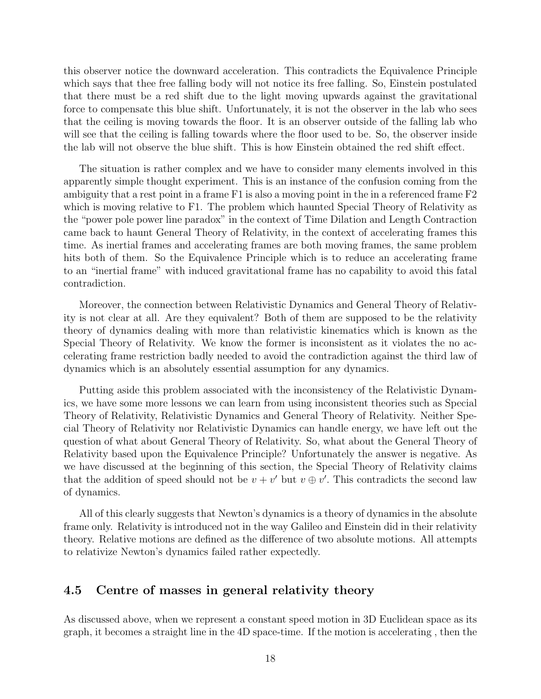this observer notice the downward acceleration. This contradicts the Equivalence Principle which says that thee free falling body will not notice its free falling. So, Einstein postulated that there must be a red shift due to the light moving upwards against the gravitational force to compensate this blue shift. Unfortunately, it is not the observer in the lab who sees that the ceiling is moving towards the floor. It is an observer outside of the falling lab who will see that the ceiling is falling towards where the floor used to be. So, the observer inside the lab will not observe the blue shift. This is how Einstein obtained the red shift effect.

The situation is rather complex and we have to consider many elements involved in this apparently simple thought experiment. This is an instance of the confusion coming from the ambiguity that a rest point in a frame F1 is also a moving point in the in a referenced frame F2 which is moving relative to F1. The problem which haunted Special Theory of Relativity as the "power pole power line paradox" in the context of Time Dilation and Length Contraction came back to haunt General Theory of Relativity, in the context of accelerating frames this time. As inertial frames and accelerating frames are both moving frames, the same problem hits both of them. So the Equivalence Principle which is to reduce an accelerating frame to an "inertial frame" with induced gravitational frame has no capability to avoid this fatal contradiction.

Moreover, the connection between Relativistic Dynamics and General Theory of Relativity is not clear at all. Are they equivalent? Both of them are supposed to be the relativity theory of dynamics dealing with more than relativistic kinematics which is known as the Special Theory of Relativity. We know the former is inconsistent as it violates the no accelerating frame restriction badly needed to avoid the contradiction against the third law of dynamics which is an absolutely essential assumption for any dynamics.

Putting aside this problem associated with the inconsistency of the Relativistic Dynamics, we have some more lessons we can learn from using inconsistent theories such as Special Theory of Relativity, Relativistic Dynamics and General Theory of Relativity. Neither Special Theory of Relativity nor Relativistic Dynamics can handle energy, we have left out the question of what about General Theory of Relativity. So, what about the General Theory of Relativity based upon the Equivalence Principle? Unfortunately the answer is negative. As we have discussed at the beginning of this section, the Special Theory of Relativity claims that the addition of speed should not be  $v + v'$  but  $v \oplus v'$ . This contradicts the second law of dynamics.

All of this clearly suggests that Newton's dynamics is a theory of dynamics in the absolute frame only. Relativity is introduced not in the way Galileo and Einstein did in their relativity theory. Relative motions are defined as the difference of two absolute motions. All attempts to relativize Newton's dynamics failed rather expectedly.

#### 4.5 Centre of masses in general relativity theory

As discussed above, when we represent a constant speed motion in 3D Euclidean space as its graph, it becomes a straight line in the 4D space-time. If the motion is accelerating , then the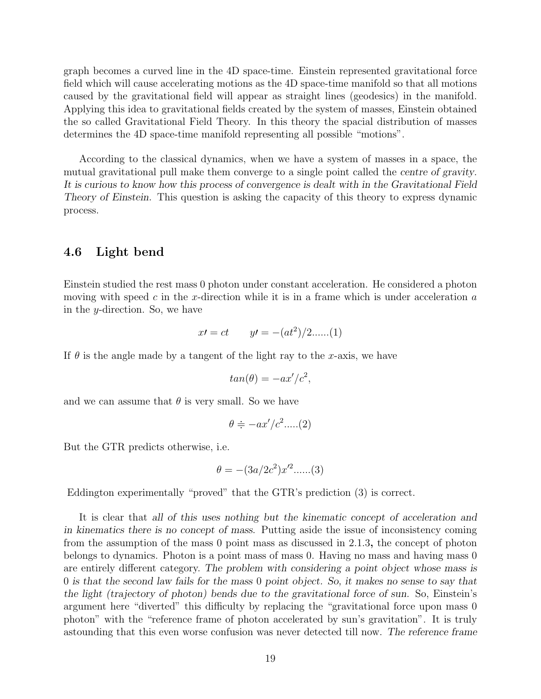graph becomes a curved line in the 4D space-time. Einstein represented gravitational force field which will cause accelerating motions as the 4D space-time manifold so that all motions caused by the gravitational field will appear as straight lines (geodesics) in the manifold. Applying this idea to gravitational fields created by the system of masses, Einstein obtained the so called Gravitational Field Theory. In this theory the spacial distribution of masses determines the 4D space-time manifold representing all possible "motions".

According to the classical dynamics, when we have a system of masses in a space, the mutual gravitational pull make them converge to a single point called the centre of gravity. It is curious to know how this process of convergence is dealt with in the Gravitational Field Theory of Einstein. This question is asking the capacity of this theory to express dynamic process.

#### 4.6 Light bend

Einstein studied the rest mass 0 photon under constant acceleration. He considered a photon moving with speed c in the x-direction while it is in a frame which is under acceleration  $a$ in the y-direction. So, we have

$$
x' = ct \t y' = -(at^2)/2.....(1)
$$

If  $\theta$  is the angle made by a tangent of the light ray to the x-axis, we have

$$
tan(\theta) = -ax'/c^2,
$$

and we can assume that  $\theta$  is very small. So we have

$$
\theta \doteq -ax'/c^2.....(2)
$$

But the GTR predicts otherwise, i.e.

$$
\theta = -(3a/2c^2)x'^2.....(3)
$$

Eddington experimentally "proved" that the GTR's prediction (3) is correct.

It is clear that all of this uses nothing but the kinematic concept of acceleration and in kinematics there is no concept of mass. Putting aside the issue of inconsistency coming from the assumption of the mass 0 point mass as discussed in 2.1.3, the concept of photon belongs to dynamics. Photon is a point mass of mass 0. Having no mass and having mass 0 are entirely different category. The problem with considering a point object whose mass is 0 is that the second law fails for the mass 0 point object. So, it makes no sense to say that the light (trajectory of photon) bends due to the gravitational force of sun. So, Einstein's argument here "diverted" this difficulty by replacing the "gravitational force upon mass 0 photon" with the "reference frame of photon accelerated by sun's gravitation". It is truly astounding that this even worse confusion was never detected till now. The reference frame